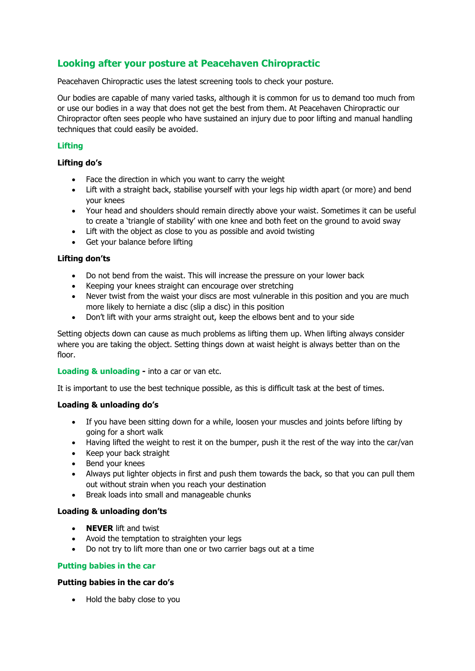# **Looking after your posture at Peacehaven Chiropractic**

Peacehaven Chiropractic uses the latest screening tools to check your posture.

Our bodies are capable of many varied tasks, although it is common for us to demand too much from or use our bodies in a way that does not get the best from them. At Peacehaven Chiropractic our Chiropractor often sees people who have sustained an injury due to poor lifting and manual handling techniques that could easily be avoided.

# **Lifting**

## **Lifting do's**

- Face the direction in which you want to carry the weight
- Lift with a straight back, stabilise yourself with your legs hip width apart (or more) and bend your knees
- Your head and shoulders should remain directly above your waist. Sometimes it can be useful to create a 'triangle of stability' with one knee and both feet on the ground to avoid sway
- Lift with the object as close to you as possible and avoid twisting
- Get your balance before lifting

## **Lifting don'ts**

- Do not bend from the waist. This will increase the pressure on your lower back
- Keeping your knees straight can encourage over stretching
- Never twist from the waist your discs are most vulnerable in this position and you are much more likely to herniate a disc (slip a disc) in this position
- Don't lift with your arms straight out, keep the elbows bent and to your side

Setting objects down can cause as much problems as lifting them up. When lifting always consider where you are taking the object. Setting things down at waist height is always better than on the floor.

#### **Loading & unloading -** into a car or van etc.

It is important to use the best technique possible, as this is difficult task at the best of times.

#### **Loading & unloading do's**

- If you have been sitting down for a while, loosen your muscles and joints before lifting by going for a short walk
- Having lifted the weight to rest it on the bumper, push it the rest of the way into the car/van
- Keep your back straight
- Bend your knees
- Always put lighter objects in first and push them towards the back, so that you can pull them out without strain when you reach your destination
- Break loads into small and manageable chunks

#### **Loading & unloading don'ts**

- **NEVER** lift and twist
- Avoid the temptation to straighten your legs
- Do not try to lift more than one or two carrier bags out at a time

#### **Putting babies in the car**

#### **Putting babies in the car do's**

• Hold the baby close to you